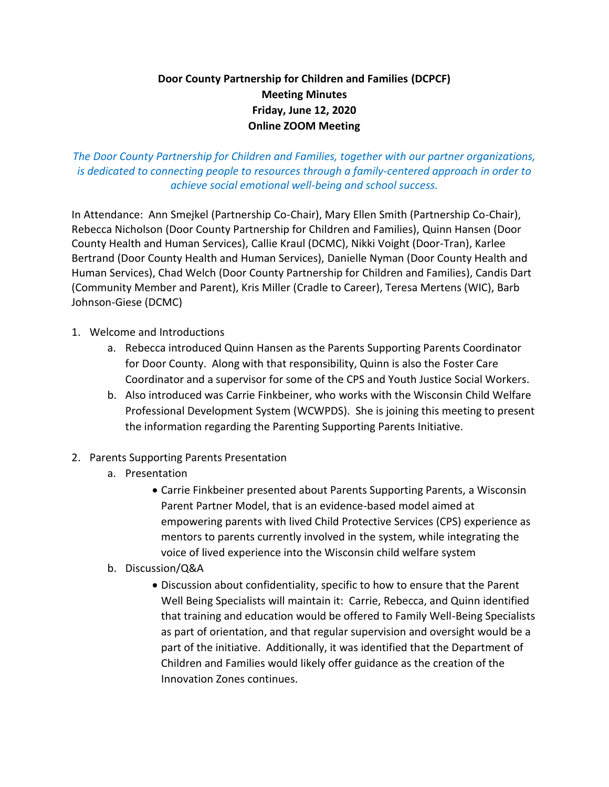## **Door County Partnership for Children and Families (DCPCF) Meeting Minutes Friday, June 12, 2020 Online ZOOM Meeting**

*The Door County Partnership for Children and Families, together with our partner organizations, is dedicated to connecting people to resources through a family-centered approach in order to achieve social emotional well-being and school success.*

In Attendance: Ann Smejkel (Partnership Co-Chair), Mary Ellen Smith (Partnership Co-Chair), Rebecca Nicholson (Door County Partnership for Children and Families), Quinn Hansen (Door County Health and Human Services), Callie Kraul (DCMC), Nikki Voight (Door-Tran), Karlee Bertrand (Door County Health and Human Services), Danielle Nyman (Door County Health and Human Services), Chad Welch (Door County Partnership for Children and Families), Candis Dart (Community Member and Parent), Kris Miller (Cradle to Career), Teresa Mertens (WIC), Barb Johnson-Giese (DCMC)

- 1. Welcome and Introductions
	- a. Rebecca introduced Quinn Hansen as the Parents Supporting Parents Coordinator for Door County. Along with that responsibility, Quinn is also the Foster Care Coordinator and a supervisor for some of the CPS and Youth Justice Social Workers.
	- b. Also introduced was Carrie Finkbeiner, who works with the Wisconsin Child Welfare Professional Development System (WCWPDS). She is joining this meeting to present the information regarding the Parenting Supporting Parents Initiative.
- 2. Parents Supporting Parents Presentation
	- a. Presentation
		- Carrie Finkbeiner presented about Parents Supporting Parents, a Wisconsin Parent Partner Model, that is an evidence-based model aimed at empowering parents with lived Child Protective Services (CPS) experience as mentors to parents currently involved in the system, while integrating the voice of lived experience into the Wisconsin child welfare system
	- b. Discussion/Q&A
		- Discussion about confidentiality, specific to how to ensure that the Parent Well Being Specialists will maintain it: Carrie, Rebecca, and Quinn identified that training and education would be offered to Family Well-Being Specialists as part of orientation, and that regular supervision and oversight would be a part of the initiative. Additionally, it was identified that the Department of Children and Families would likely offer guidance as the creation of the Innovation Zones continues.